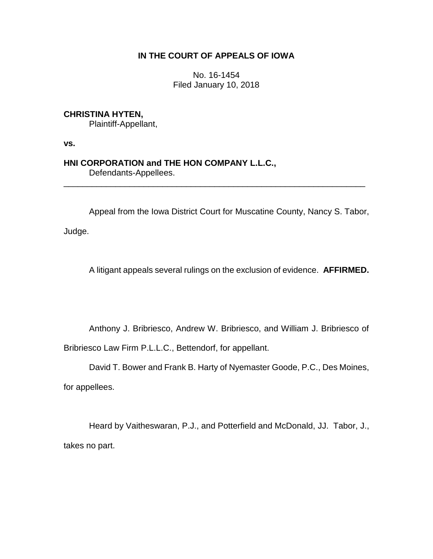# **IN THE COURT OF APPEALS OF IOWA**

No. 16-1454 Filed January 10, 2018

# **CHRISTINA HYTEN,**

Plaintiff-Appellant,

**vs.**

## **HNI CORPORATION and THE HON COMPANY L.L.C.,** Defendants-Appellees.

Appeal from the Iowa District Court for Muscatine County, Nancy S. Tabor,

\_\_\_\_\_\_\_\_\_\_\_\_\_\_\_\_\_\_\_\_\_\_\_\_\_\_\_\_\_\_\_\_\_\_\_\_\_\_\_\_\_\_\_\_\_\_\_\_\_\_\_\_\_\_\_\_\_\_\_\_\_\_\_\_

Judge.

A litigant appeals several rulings on the exclusion of evidence. **AFFIRMED.** 

Anthony J. Bribriesco, Andrew W. Bribriesco, and William J. Bribriesco of

Bribriesco Law Firm P.L.L.C., Bettendorf, for appellant.

David T. Bower and Frank B. Harty of Nyemaster Goode, P.C., Des Moines,

for appellees.

Heard by Vaitheswaran, P.J., and Potterfield and McDonald, JJ. Tabor, J., takes no part.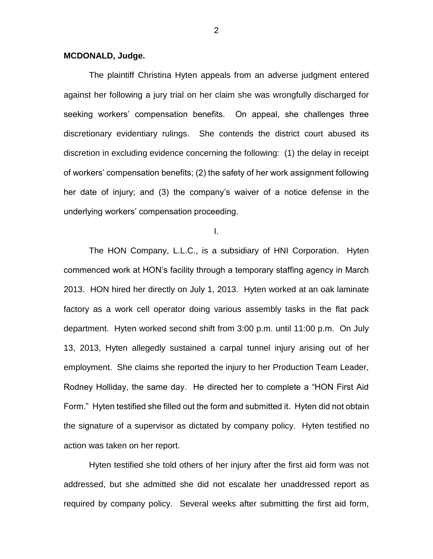### **MCDONALD, Judge.**

The plaintiff Christina Hyten appeals from an adverse judgment entered against her following a jury trial on her claim she was wrongfully discharged for seeking workers' compensation benefits. On appeal, she challenges three discretionary evidentiary rulings. She contends the district court abused its discretion in excluding evidence concerning the following: (1) the delay in receipt of workers' compensation benefits; (2) the safety of her work assignment following her date of injury; and (3) the company's waiver of a notice defense in the underlying workers' compensation proceeding.

I.

The HON Company, L.L.C., is a subsidiary of HNI Corporation. Hyten commenced work at HON's facility through a temporary staffing agency in March 2013. HON hired her directly on July 1, 2013. Hyten worked at an oak laminate factory as a work cell operator doing various assembly tasks in the flat pack department. Hyten worked second shift from 3:00 p.m. until 11:00 p.m. On July 13, 2013, Hyten allegedly sustained a carpal tunnel injury arising out of her employment. She claims she reported the injury to her Production Team Leader, Rodney Holliday, the same day. He directed her to complete a "HON First Aid Form." Hyten testified she filled out the form and submitted it. Hyten did not obtain the signature of a supervisor as dictated by company policy. Hyten testified no action was taken on her report.

Hyten testified she told others of her injury after the first aid form was not addressed, but she admitted she did not escalate her unaddressed report as required by company policy. Several weeks after submitting the first aid form,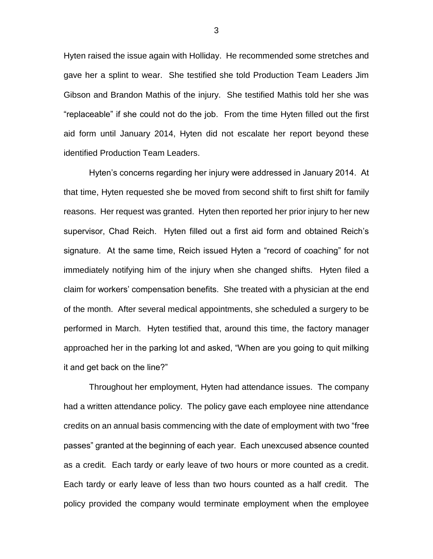Hyten raised the issue again with Holliday. He recommended some stretches and gave her a splint to wear. She testified she told Production Team Leaders Jim Gibson and Brandon Mathis of the injury. She testified Mathis told her she was "replaceable" if she could not do the job. From the time Hyten filled out the first aid form until January 2014, Hyten did not escalate her report beyond these identified Production Team Leaders.

Hyten's concerns regarding her injury were addressed in January 2014. At that time, Hyten requested she be moved from second shift to first shift for family reasons. Her request was granted. Hyten then reported her prior injury to her new supervisor, Chad Reich. Hyten filled out a first aid form and obtained Reich's signature. At the same time, Reich issued Hyten a "record of coaching" for not immediately notifying him of the injury when she changed shifts. Hyten filed a claim for workers' compensation benefits. She treated with a physician at the end of the month. After several medical appointments, she scheduled a surgery to be performed in March. Hyten testified that, around this time, the factory manager approached her in the parking lot and asked, "When are you going to quit milking it and get back on the line?"

Throughout her employment, Hyten had attendance issues. The company had a written attendance policy. The policy gave each employee nine attendance credits on an annual basis commencing with the date of employment with two "free passes" granted at the beginning of each year. Each unexcused absence counted as a credit. Each tardy or early leave of two hours or more counted as a credit. Each tardy or early leave of less than two hours counted as a half credit. The policy provided the company would terminate employment when the employee

3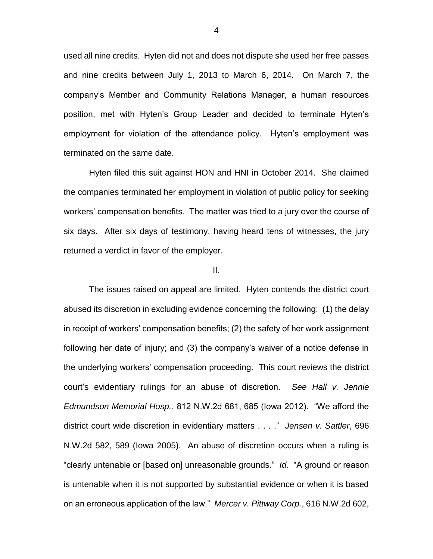used all nine credits. Hyten did not and does not dispute she used her free passes and nine credits between July 1, 2013 to March 6, 2014. On March 7, the company's Member and Community Relations Manager, a human resources position, met with Hyten's Group Leader and decided to terminate Hyten's employment for violation of the attendance policy. Hyten's employment was terminated on the same date.

Hyten filed this suit against HON and HNI in October 2014. She claimed the companies terminated her employment in violation of public policy for seeking workers' compensation benefits. The matter was tried to a jury over the course of six days. After six days of testimony, having heard tens of witnesses, the jury returned a verdict in favor of the employer.

#### II.

The issues raised on appeal are limited. Hyten contends the district court abused its discretion in excluding evidence concerning the following: (1) the delay in receipt of workers' compensation benefits; (2) the safety of her work assignment following her date of injury; and (3) the company's waiver of a notice defense in the underlying workers' compensation proceeding. This court reviews the district court's evidentiary rulings for an abuse of discretion. *See Hall v. Jennie Edmundson Memorial Hosp.*, 812 N.W.2d 681, 685 (Iowa 2012). "We afford the district court wide discretion in evidentiary matters . . . ." *Jensen v. Sattler*, 696 N.W.2d 582, 589 (Iowa 2005). An abuse of discretion occurs when a ruling is "clearly untenable or [based on] unreasonable grounds." *Id.* "A ground or reason is untenable when it is not supported by substantial evidence or when it is based on an erroneous application of the law." *Mercer v. Pittway Corp.*, 616 N.W.2d 602,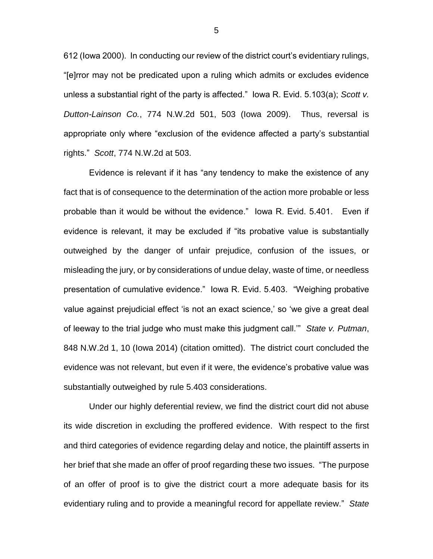612 (Iowa 2000). In conducting our review of the district court's evidentiary rulings, "[e]rror may not be predicated upon a ruling which admits or excludes evidence unless a substantial right of the party is affected." Iowa R. Evid. 5.103(a); *Scott v. Dutton-Lainson Co.*, 774 N.W.2d 501, 503 (Iowa 2009). Thus, reversal is appropriate only where "exclusion of the evidence affected a party's substantial rights." *Scott*, 774 N.W.2d at 503.

Evidence is relevant if it has "any tendency to make the existence of any fact that is of consequence to the determination of the action more probable or less probable than it would be without the evidence." Iowa R. Evid. 5.401. Even if evidence is relevant, it may be excluded if "its probative value is substantially outweighed by the danger of unfair prejudice, confusion of the issues, or misleading the jury, or by considerations of undue delay, waste of time, or needless presentation of cumulative evidence." Iowa R. Evid. 5.403. "Weighing probative value against prejudicial effect 'is not an exact science,' so 'we give a great deal of leeway to the trial judge who must make this judgment call.'" *State v. Putman*, 848 N.W.2d 1, 10 (Iowa 2014) (citation omitted). The district court concluded the evidence was not relevant, but even if it were, the evidence's probative value was substantially outweighed by rule 5.403 considerations.

Under our highly deferential review, we find the district court did not abuse its wide discretion in excluding the proffered evidence. With respect to the first and third categories of evidence regarding delay and notice, the plaintiff asserts in her brief that she made an offer of proof regarding these two issues. "The purpose of an offer of proof is to give the district court a more adequate basis for its evidentiary ruling and to provide a meaningful record for appellate review." *State* 

5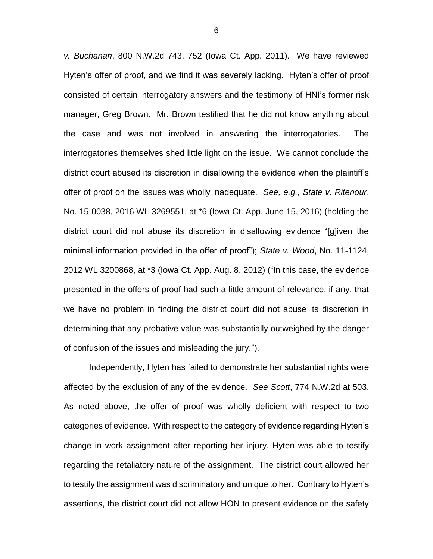*v. Buchanan*, 800 N.W.2d 743, 752 (Iowa Ct. App. 2011). We have reviewed Hyten's offer of proof, and we find it was severely lacking. Hyten's offer of proof consisted of certain interrogatory answers and the testimony of HNI's former risk manager, Greg Brown. Mr. Brown testified that he did not know anything about the case and was not involved in answering the interrogatories. The interrogatories themselves shed little light on the issue. We cannot conclude the district court abused its discretion in disallowing the evidence when the plaintiff's offer of proof on the issues was wholly inadequate. *See, e.g., State v. Ritenour*, No. 15-0038, 2016 WL 3269551, at \*6 (Iowa Ct. App. June 15, 2016) (holding the district court did not abuse its discretion in disallowing evidence "[g]iven the minimal information provided in the offer of proof"); *State v. Wood*, No. 11-1124, 2012 WL 3200868, at \*3 (Iowa Ct. App. Aug. 8, 2012) ("In this case, the evidence presented in the offers of proof had such a little amount of relevance, if any, that we have no problem in finding the district court did not abuse its discretion in determining that any probative value was substantially outweighed by the danger of confusion of the issues and misleading the jury.").

Independently, Hyten has failed to demonstrate her substantial rights were affected by the exclusion of any of the evidence. *See Scott*, 774 N.W.2d at 503. As noted above, the offer of proof was wholly deficient with respect to two categories of evidence. With respect to the category of evidence regarding Hyten's change in work assignment after reporting her injury, Hyten was able to testify regarding the retaliatory nature of the assignment. The district court allowed her to testify the assignment was discriminatory and unique to her. Contrary to Hyten's assertions, the district court did not allow HON to present evidence on the safety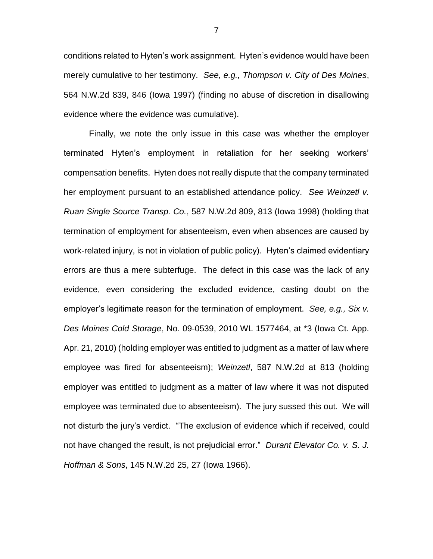conditions related to Hyten's work assignment. Hyten's evidence would have been merely cumulative to her testimony. *See, e.g., Thompson v. City of Des Moines*, 564 N.W.2d 839, 846 (Iowa 1997) (finding no abuse of discretion in disallowing evidence where the evidence was cumulative).

Finally, we note the only issue in this case was whether the employer terminated Hyten's employment in retaliation for her seeking workers' compensation benefits. Hyten does not really dispute that the company terminated her employment pursuant to an established attendance policy. *See Weinzetl v. Ruan Single Source Transp. Co.*, 587 N.W.2d 809, 813 (Iowa 1998) (holding that termination of employment for absenteeism, even when absences are caused by work-related injury, is not in violation of public policy). Hyten's claimed evidentiary errors are thus a mere subterfuge. The defect in this case was the lack of any evidence, even considering the excluded evidence, casting doubt on the employer's legitimate reason for the termination of employment. *See, e.g., Six v. Des Moines Cold Storage*, No. 09-0539, 2010 WL 1577464, at \*3 (Iowa Ct. App. Apr. 21, 2010) (holding employer was entitled to judgment as a matter of law where employee was fired for absenteeism); *Weinzetl*, 587 N.W.2d at 813 (holding employer was entitled to judgment as a matter of law where it was not disputed employee was terminated due to absenteeism). The jury sussed this out. We will not disturb the jury's verdict. "The exclusion of evidence which if received, could not have changed the result, is not prejudicial error." *Durant Elevator Co. v. S. J. Hoffman & Sons*, 145 N.W.2d 25, 27 (Iowa 1966).

7